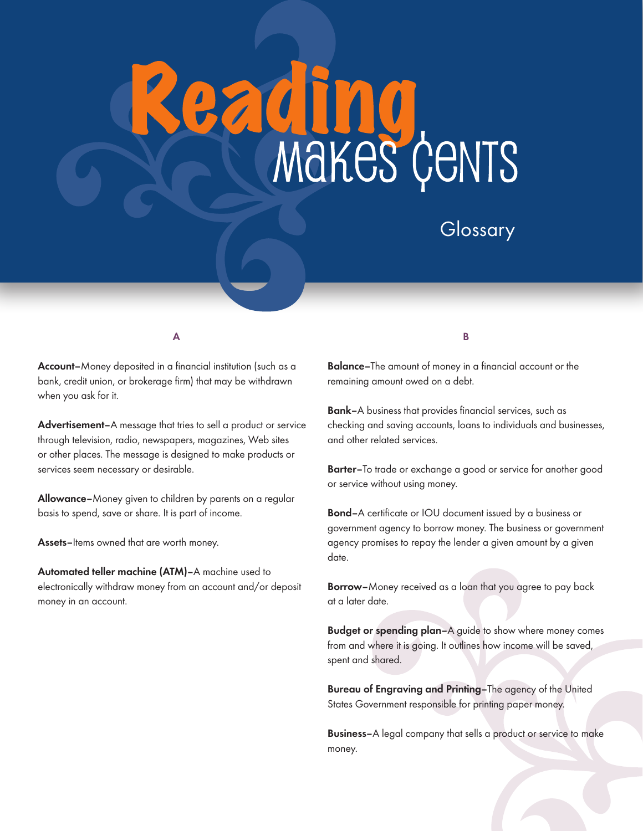# Reading<br>Makes cents

### **Glossary**

A

Account–Money deposited in a financial institution (such as a bank, credit union, or brokerage firm) that may be withdrawn when you ask for it.

Advertisement–A message that tries to sell a product or service through television, radio, newspapers, magazines, Web sites or other places. The message is designed to make products or services seem necessary or desirable.

Allowance–Money given to children by parents on a regular basis to spend, save or share. It is part of income.

Assets–Items owned that are worth money.

Automated teller machine (ATM)–A machine used to electronically withdraw money from an account and/or deposit money in an account.

B

Balance–The amount of money in a financial account or the remaining amount owed on a debt.

Bank–A business that provides financial services, such as checking and saving accounts, loans to individuals and businesses, and other related services.

Barter-To trade or exchange a good or service for another good or service without using money.

Bond–A certificate or IOU document issued by a business or government agency to borrow money. The business or government agency promises to repay the lender a given amount by a given date.

Borrow–Money received as a loan that you agree to pay back at a later date.

Budget or spending plan-A guide to show where money comes from and where it is going. It outlines how income will be saved, spent and shared.

Bureau of Engraving and Printing–The agency of the United States Government responsible for printing paper money.

Business–A legal company that sells a product or service to make money.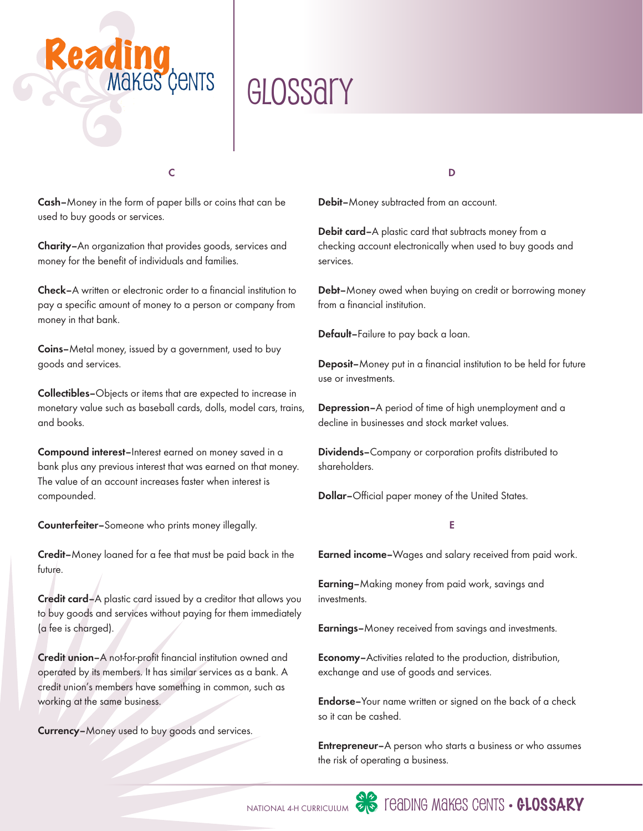## glossary glossary

#### C

Cash–Money in the form of paper bills or coins that can be used to buy goods or services.

MAKES CENTS

Charity–An organization that provides goods, services and money for the benefit of individuals and families.

Check–A written or electronic order to a financial institution to pay a specific amount of money to a person or company from money in that bank.

Coins–Metal money, issued by a government, used to buy goods and services.

Collectibles–Objects or items that are expected to increase in monetary value such as baseball cards, dolls, model cars, trains, and books.

Compound interest–Interest earned on money saved in a bank plus any previous interest that was earned on that money. The value of an account increases faster when interest is compounded.

Counterfeiter–Someone who prints money illegally.

Credit–Money loaned for a fee that must be paid back in the future.

Credit card–A plastic card issued by a creditor that allows you to buy goods and services without paying for them immediately (a fee is charged).

Credit union–A not-for-profit financial institution owned and operated by its members. It has similar services as a bank. A credit union's members have something in common, such as working at the same business.

Currency–Money used to buy goods and services.

#### D

Debit-Money subtracted from an account.

Debit card–A plastic card that subtracts money from a checking account electronically when used to buy goods and services.

Debt–Money owed when buying on credit or borrowing money from a financial institution.

Default–Failure to pay back a loan.

Deposit–Money put in a financial institution to be held for future use or investments.

Depression–A period of time of high unemployment and a decline in businesses and stock market values.

Dividends–Company or corporation profits distributed to shareholders.

Dollar–Official paper money of the United States.

#### E

Earned income–Wages and salary received from paid work.

Earning–Making money from paid work, savings and investments.

Earnings–Money received from savings and investments.

Economy–Activities related to the production, distribution, exchange and use of goods and services.

Endorse–Your name written or signed on the back of a check so it can be cashed.

Entrepreneur–A person who starts a business or who assumes the risk of operating a business.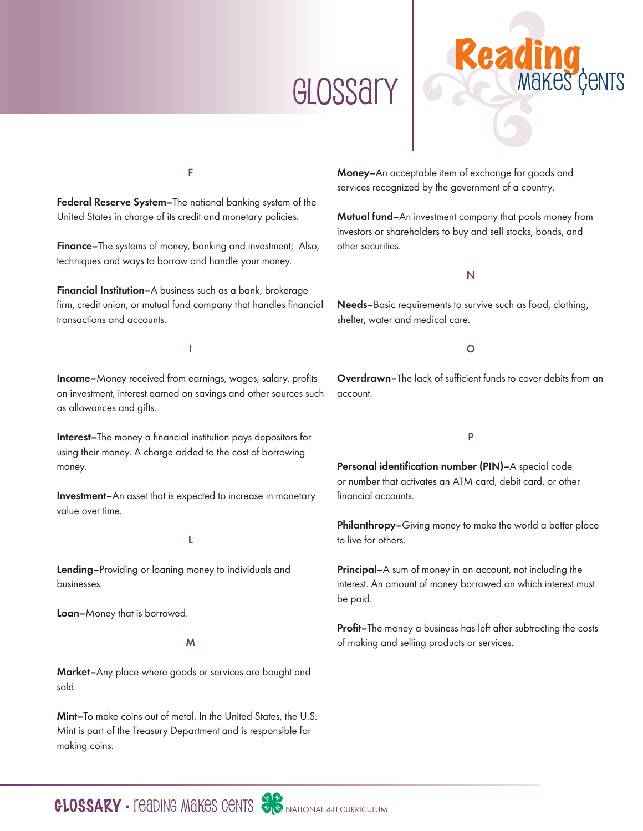## GLOSSAry



#### F

Federal Reserve System-The national banking system of the United States in charge of its credit and monetary policies.

Finance–The systems of money, banking and investment; Also, techniques and ways to borrow and handle your money.

Financial Institution–A business such as a bank, brokerage firm, credit union, or mutual fund company that handles financial transactions and accounts.

I

Income–Money received from earnings, wages, salary, profits on investment, interest earned on savings and other sources such as allowances and gifts.

Interest–The money a financial institution pays depositors for using their money. A charge added to the cost of borrowing money.

Investment–An asset that is expected to increase in monetary value over time.

#### L

Lending–Providing or loaning money to individuals and businesses.

Loan–Money that is borrowed.

#### M

Market–Any place where goods or services are bought and sold.

Mint–To make coins out of metal. In the United States, the U.S. Mint is part of the Treasury Department and is responsible for making coins.

Money–An acceptable item of exchange for goods and services recognized by the government of a country.

Mutual fund–An investment company that pools money from investors or shareholders to buy and sell stocks, bonds, and other securities.

#### N

Needs–Basic requirements to survive such as food, clothing, shelter, water and medical care.

#### O

Overdrawn–The lack of sufficient funds to cover debits from an account.

#### P

Personal identification number (PIN)–A special code or number that activates an ATM card, debit card, or other financial accounts.

Philanthropy-Giving money to make the world a better place to live for others.

**Principal-**A sum of money in an account, not including the interest. An amount of money borrowed on which interest must be paid.

Profit-The money a business has left after subtracting the costs of making and selling products or services.